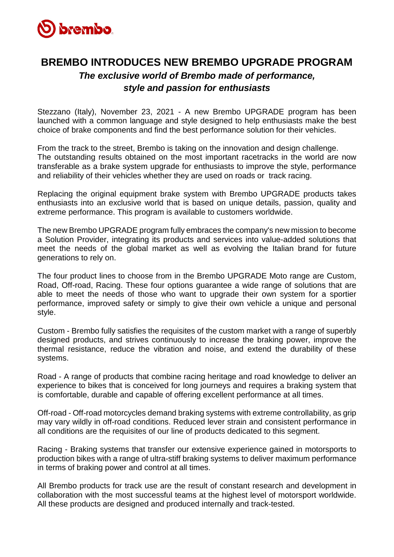

## **BREMBO INTRODUCES NEW BREMBO UPGRADE PROGRAM**  *The exclusive world of Brembo made of performance, style and passion for enthusiasts*

Stezzano (Italy), November 23, 2021 - A new Brembo UPGRADE program has been launched with a common language and style designed to help enthusiasts make the best choice of brake components and find the best performance solution for their vehicles.

From the track to the street, Brembo is taking on the innovation and design challenge. The outstanding results obtained on the most important racetracks in the world are now transferable as a brake system upgrade for enthusiasts to improve the style, performance and reliability of their vehicles whether they are used on roads or track racing.

Replacing the original equipment brake system with Brembo UPGRADE products takes enthusiasts into an exclusive world that is based on unique details, passion, quality and extreme performance. This program is available to customers worldwide.

The new Brembo UPGRADE program fully embraces the company's new mission to become a Solution Provider, integrating its products and services into value-added solutions that meet the needs of the global market as well as evolving the Italian brand for future generations to rely on.

The four product lines to choose from in the Brembo UPGRADE Moto range are Custom, Road, Off-road, Racing. These four options guarantee a wide range of solutions that are able to meet the needs of those who want to upgrade their own system for a sportier performance, improved safety or simply to give their own vehicle a unique and personal style.

Custom - Brembo fully satisfies the requisites of the custom market with a range of superbly designed products, and strives continuously to increase the braking power, improve the thermal resistance, reduce the vibration and noise, and extend the durability of these systems.

Road - A range of products that combine racing heritage and road knowledge to deliver an experience to bikes that is conceived for long journeys and requires a braking system that is comfortable, durable and capable of offering excellent performance at all times.

Off-road - Off-road motorcycles demand braking systems with extreme controllability, as grip may vary wildly in off-road conditions. Reduced lever strain and consistent performance in all conditions are the requisites of our line of products dedicated to this segment.

Racing - Braking systems that transfer our extensive experience gained in motorsports to production bikes with a range of ultra-stiff braking systems to deliver maximum performance in terms of braking power and control at all times.

All Brembo products for track use are the result of constant research and development in collaboration with the most successful teams at the highest level of motorsport worldwide. All these products are designed and produced internally and track-tested.